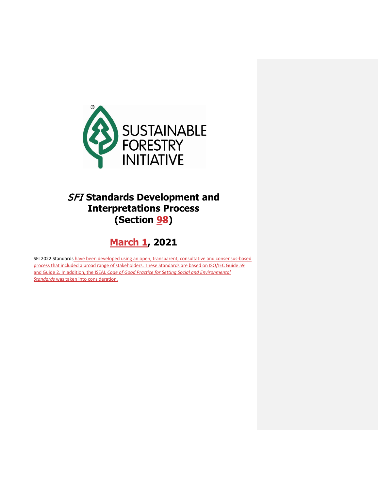

# SFI **Standards Development and Interpretations Process (Section 98)**

# **March 1, 2021**

SFI 2022 Standards have been developed using an open, transparent, consultative and consensus-based process that included a broad range of stakeholders. These Standards are based on ISO/IEC Guide 59 and Guide 2. In addition, the ISEAL *Code of Good Practice for Setting Social and Environmental Standards* was taken into consideration.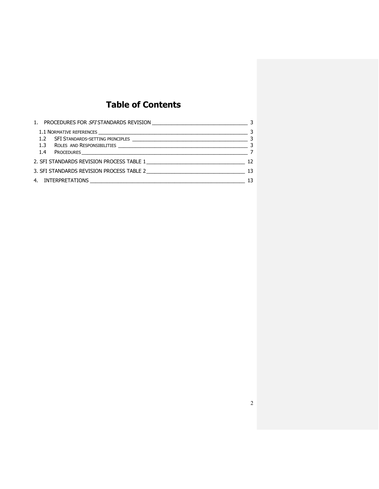# **Table of Contents**

| 2. SFI STANDARDS REVISION PROCESS TABLE 1 2000 100 12 |    |
|-------------------------------------------------------|----|
|                                                       |    |
|                                                       | 13 |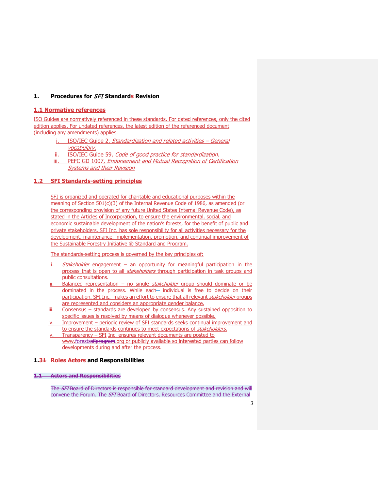### <span id="page-2-0"></span>**1. Procedures for** SFI **Standards Revision**

## <span id="page-2-1"></span>**1.1 Normative references**

ISO Guides are normatively referenced in these standards. For dated references, only the cited edition applies. For undated references, the latest edition of the referenced document (including any amendments) applies.

- ISO/IEC Guide 2, Standardization and related activities General vocabulary.
- ISO/IEC Guide 59, Code of good practice for standardization.
- iii. PEFC GD 1007, *Endorsement and Mutual Recognition of Certification* Systems and their Revision

### <span id="page-2-2"></span>**1.2 SFI Standards-setting principles**

SFI is organized and operated for charitable and educational purposes within the meaning of Section 501(c)(3) of the Internal Revenue Code of 1986, as amended (or the corresponding provision of any future United States Internal Revenue Code), as stated in the Articles of Incorporation, to ensure the environmental, social, and economic sustainable development of the nation's forests, for the benefit of public and private stakeholders. SFI Inc. has sole responsibility for all activities necessary for the development, maintenance, implementation, promotion, and continual improvement of the Sustainable Forestry Initiative ® Standard and Program.

The standards-setting process is governed by the key principles of:

- Stakeholder engagement an opportunity for meaningful participation in the process that is open to all *stakeholders* through participation in task groups and public consultations.
- Balanced representation no single  $stable holder$  group should dominate or be dominated in the process. While each- individual is free to decide on their participation, SFI Inc. makes an effort to ensure that all relevant stakeholder groups are represented and considers an appropriate gender balance.
- iii. Consensus standards are developed by consensus. Any sustained opposition to specific issues is resolved by means of dialogue whenever possible.
- iv. Improvement periodic review of SFI standards seeks continual improvement and to ensure the standards continues to meet expectations of stakeholders.
- Transparency SFI Inc. ensures relevant documents are posted to [www.forestssfiprogram.org](http://www.forests.org/) or publicly available so interested parties can follow developments during and after the process.

### <span id="page-2-3"></span>**1.31 Roles Actors and Responsibilities**

#### **1.1 Actors and Responsibilities**

The SFI Board of Directors is responsible for standard development and revision and will convene the Forum. The SFI Board of Directors, Resources Committee and the External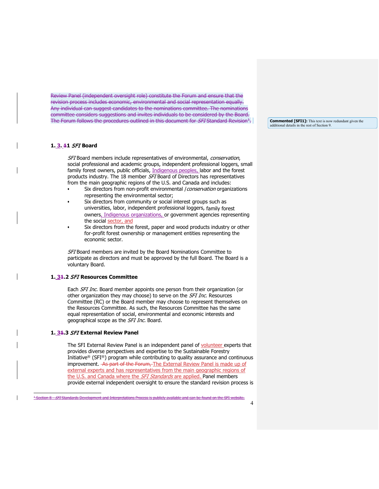Review Panel (independent oversight role) constitute the Forum and ensure that the revision process includes economic, environmental and social representation equally. Any individual can suggest candidates to the nominations committee. The nominations committee considers suggestions and invites individuals to be considered by the Board. The Forum follows the procedures outlined in this document for *SFI* Standard Revision<sup>1</sup>.

### **1. 3. 11** SFI **Board**

SFI Board members include representatives of environmental, conservation, social professional and academic groups, independent professional loggers, small family forest owners, public officials, Indigenous peoples, labor and the forest products industry. The 18 member SFI Board of Directors has representatives from the main geographic regions of the U.S. and Canada and includes:

- Six directors from non-profit environmental *| conservation* organizations representing the environmental sector;
- Six directors from community or social interest groups such as universities, labor, independent professional loggers, family forest owners, Indigenous organizations, or government agencies representing the social sector, and
- Six directors from the forest, paper and wood products industry or other for-profit forest ownership or management entities representing the economic sector.

SFI Board members are invited by the Board Nominations Committee to participate as directors and must be approved by the full Board. The Board is a voluntary Board.

#### **1. 31.2** SFI **Resources Committee**

Each *SFI Inc.* Board member appoints one person from their organization (or other organization they may choose) to serve on the SFI Inc. Resources Committee (RC) or the Board member may choose to represent themselves on the Resources Committee. As such, the Resources Committee has the same equal representation of social, environmental and economic interests and geographical scope as the SFI Inc. Board.

#### **1. 31.3** SFI **External Review Panel**

The SFI External Review Panel is an independent panel of volunteer experts that provides diverse perspectives and expertise to the Sustainable Forestry Initiative® (SFI®) program while contributing to quality assurance and continuous improvement. As part of the Forum, The External Review Panel is made up of external experts and has representatives from the main geographic regions of the U.S. and Canada where the SFI Standards are applied. Panel members provide external independent oversight to ensure the standard revision process is **Commented [SFI1]:** This text is now redundant given the additional details in the rest of Section 9.

<span id="page-3-0"></span><sup>&</sup>lt;sup>1</sup> Section 8 - SFI Standards Development and Interpretations Process is publicly available and can be found on the SFI website.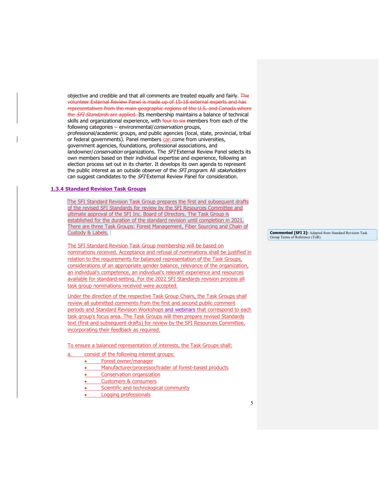objective and credible and that all comments are treated equally and fairly.  $\overline{Fhe}$ volunteer External Review Panel is made up of 15-18 external experts and has representatives from the main geographic regions of the U.S. and Canada where the *SFI Standards* are applied. Its membership maintains a balance of technical skills and organizational experience, with four to six members from each of the following categories – environmental/*conservation* groups, professional/academic groups, and public agencies (local, state, provincial, tribal or federal governments). Panel members can come from universities, government agencies, foundations, professional associations, and landowner/conservation organizations. The SFI External Review Panel selects its own members based on their individual expertise and experience, following an election process set out in its charter. It develops its own agenda to represent the public interest as an outside observer of the SFI program. All stakeholders can suggest candidates to the SFI External Review Panel for consideration.

#### **1.3.4 Standard Revision Task Groups**

The SFI Standard Revision Task Group prepares the first and subsequent drafts of the revised SFI Standards for review by the SFI Resources Committee and ultimate approval of the SFI Inc. Board of Directors. The Task Group is established for the duration of the standard revision until completion in 2021. There are three Task Groups: Forest Management, Fiber Sourcing and Chain of Custody & Labels.

The SFI Standard Revision Task Group membership will be based on nominations received. Acceptance and refusal of nominations shall be justified in relation to the requirements for balanced representation of the Task Groups, considerations of an appropriate gender balance, relevance of the organization, an individual's competence, an individual's relevant experience and resources available for standard-setting. For the 2022 SFI Standards revision process all task group nominations received were accepted.

Under the direction of the respective Task Group Chairs, the Task Groups shall review all submitted comments from the first and second public comment periods and Standard Revision Workshops and webinars that correspond to each task group's focus area. The Task Groups will then prepare revised Standards text (first and subsequent drafts) for review by the SFI Resources Committee, incorporating their feedback as required.

To ensure a balanced representation of interests, the Task Groups shall:

- consist of the following interest groups:
	- Forest owner/manager
	- Manufacturer/processor/trader of forest-based products
	- Conservation organization
	- Customers & consumers
	- Scientific and technological community
	- Logging professionals

**Commented [SFI 2]:** Adapted from Standard Revision Task Group Terms of Reference (ToR).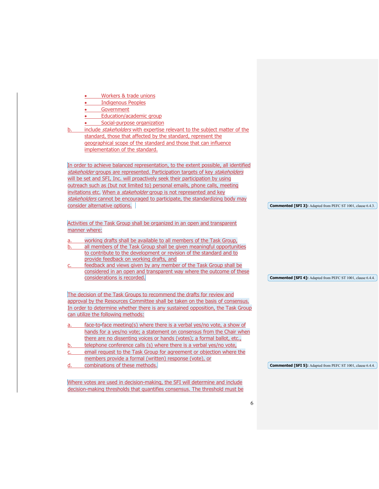| Workers & trade unions                                                                                                          |                                                                    |
|---------------------------------------------------------------------------------------------------------------------------------|--------------------------------------------------------------------|
| <b>Indigenous Peoples</b>                                                                                                       |                                                                    |
| Government<br>$\bullet$                                                                                                         |                                                                    |
| Education/academic group                                                                                                        |                                                                    |
| Social-purpose organization                                                                                                     |                                                                    |
| include <i>stakeholders</i> with expertise relevant to the subject matter of the                                                |                                                                    |
| standard, those that affected by the standard, represent the<br>geographical scope of the standard and those that can influence |                                                                    |
| implementation of the standard.                                                                                                 |                                                                    |
|                                                                                                                                 |                                                                    |
| In order to achieve balanced representation, to the extent possible, all identified                                             |                                                                    |
| stakeholder groups are represented. Participation targets of key stakeholders                                                   |                                                                    |
| will be set and SFI, Inc. will proactively seek their participation by using                                                    |                                                                    |
| outreach such as (but not limited to) personal emails, phone calls, meeting                                                     |                                                                    |
| invitations etc. When a stakeholder group is not represented and key                                                            |                                                                    |
| stakeholders cannot be encouraged to participate, the standardizing body may                                                    |                                                                    |
| consider alternative options.                                                                                                   | <b>Commented [SFI 3]:</b> Adapted from PEFC ST 1001, clause 6.4.3. |
|                                                                                                                                 |                                                                    |
| Activities of the Task Group shall be organized in an open and transparent                                                      |                                                                    |
| manner where:                                                                                                                   |                                                                    |
| working drafts shall be available to all members of the Task Group,<br>a.                                                       |                                                                    |
| all members of the Task Group shall be given meaningful opportunities<br>b.                                                     |                                                                    |
| to contribute to the development or revision of the standard and to                                                             |                                                                    |
| provide feedback on working drafts, and                                                                                         |                                                                    |
| feedback and views given by any member of the Task Group shall be                                                               |                                                                    |
| considered in an open and transparent way where the outcome of these<br>considerations is recorded.                             | <b>Commented [SFI 4]:</b> Adapted from PEFC ST 1001, clause 6.4.4. |
|                                                                                                                                 |                                                                    |
| The decision of the Task Groups to recommend the drafts for review and                                                          |                                                                    |
| approval by the Resources Committee shall be taken on the basis of consensus.                                                   |                                                                    |
| In order to determine whether there is any sustained opposition, the Task Group                                                 |                                                                    |
| can utilize the following methods:                                                                                              |                                                                    |
| face-to face meeting(s) where there is a verbal yes/no vote, a show of<br>a.                                                    |                                                                    |
| hands for a yes/no vote; a statement on consensus from the Chair when                                                           |                                                                    |
| there are no dissenting voices or hands (votes); a formal ballot, etc.,                                                         |                                                                    |
| telephone conference calls (s) where there is a verbal yes/no vote,<br>b.                                                       |                                                                    |
| email request to the Task Group for agreement or objection where the<br>C.                                                      |                                                                    |
| members provide a formal (written) response (vote), or                                                                          |                                                                    |
| combinations of these methods.<br>d.                                                                                            | <b>Commented [SFI 5]:</b> Adapted from PEFC ST 1001, clause 6.4.4. |
|                                                                                                                                 |                                                                    |
| Where votes are used in decision-making, the SFI will determine and include                                                     |                                                                    |
| decision-making thresholds that quantifies consensus. The threshold must be                                                     |                                                                    |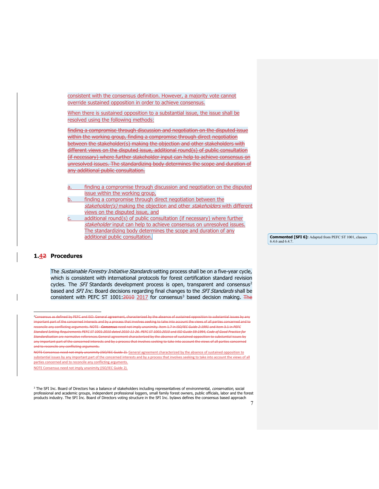consistent with the consensus definition. However, a majority vote cannot override sustained opposition in order to achieve consensus.

When there is sustained opposition to a substantial issue, the issue shall be resolved using the following methods:

finding a compromise through discussion and negotiation on the disputed issue within the working group, finding a compromise through direct negotiation between the stakeholder(s) making the objection and other stakeholders with different views on the disputed issue, additional round(s) of public consultation (if necessary) where further stakeholder input can help to achieve consensus on unresolved issues. The standardizing body determines the scope and duration of any additional public consultation.

a. finding a compromise through discussion and negotiation on the disputed issue within the working group,

- finding a compromise through direct negotiation between the stakeholder(s) making the objection and other stakeholders with different views on the disputed issue, and
- additional round(s) of public consultation (if necessary) where further stakeholder input can help to achieve consensus on unresolved issues. The standardizing body determines the scope and duration of any additional public consultation.

**Commented [SFI 6]:** Adapted from PEFC ST 1001, clauses 6.4.6 and 6.4.7.

#### <span id="page-6-0"></span>**1.42 Procedures**

The Sustainable Forestry Initiative Standards setting process shall be on a five-year cycle, which is consistent with international protocols for forest certification standard revision cycles. The  $SFI$  Standards development process is open, transparent and consensus<sup>[2](#page-6-1)</sup> based and SFI Inc. Board decisions regarding final changes to the SFI Standards shall be consistent with PEFC ST 1001:2010 2017 for consensus<sup>[3](#page-6-2)</sup> based decision making. The

2 Consensus as defined by PEFC and ISO: General agreement, characterized by the absence of sustained opposition to substantial issues by any nt part of the concerned interests and by a process that involves seeking to take into account the views of all parties concerned and to reconcile any conflicting arguments. NOTE - *Consensus* need not imply unanimity. Item 1.7 in *ISO/IEC Guide 2:1991* and item 3.1 in *PEFC Standard Setting Requirements PEFC ST 1001:2010 dated 2010-11-26*. *PEFC ST 1001:2010* and *ISO Guide 59:1994, Code of Good Practice for Standardisation* are normative references.General agreement characterized by the absence of sustained opposition to substantial issues by any important part of the concerned interests and by a process that involves seeking to take into account the views of all parties concerned interestional parties of cile any conflicting arguments.

<span id="page-6-1"></span>need not imply unanimity (ISO/IEC Guide 2). General agreement characterized by the absence of sustained opposition to substantial issues by any important part of the concerned interests and by a process that involves seeking to take into account the views of all parties concerned and to reconcile any conflicting arguments.

<span id="page-6-2"></span><sup>3</sup> The SFI Inc. Board of Directors has a balance of stakeholders including representatives of environmental, *conservation*, social professional and academic groups, independent professional loggers, small family forest owners, public officials, labor and the forest products industry. The SFI Inc. Board of Directors voting structure in the SFI Inc. bylaws defines the consensus based approach

NOTE Consensus need not imply unanimity (ISO/IEC Guide 2).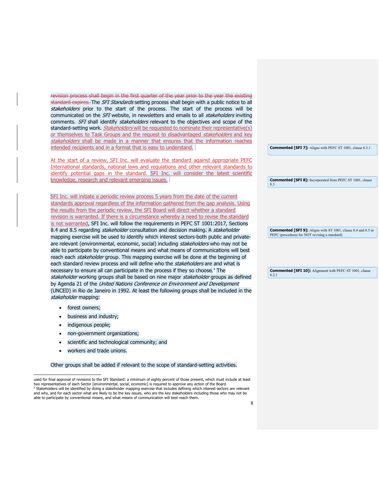revision process shall begin in the first quarter of the year prior to the year the existing standard expires. The SFI Standards setting process shall begin with a public notice to all stakeholders prior to the start of the process. The start of the process will be communicated on the SFI website, in newsletters and emails to all stakeholders inviting comments. SFI shall identify stakeholders relevant to the objectives and scope of the standard-setting work. *Stakeholders* will be requested to nominate their representative(s) or themselves to Task Groups and the request to disadvantaged stakeholders and key stakeholders shall be made in a manner that ensures that the information reaches intended recipients and in a format that is easy to understand.

At the start of a review, SFI Inc. will evaluate the standard against appropriate PEFC International standards, national laws and regulations and other relevant standards to identify potential gaps in the standard. SFI Inc. will consider the latest scientific knowledge, research and relevant emerging issues.

SFI Inc. will initiate a periodic review process 5 years from the date of the current standards approval regardless of the information gathered from the gap analysis. Using the results from the periodic review, the SFI Board will direct whether a standard revision is warranted. If there is a circumstance whereby a need to revise the standard is not warranted, SFI Inc. will follow the requirements in PEFC ST 1001:2017, Sections 8.4 and 8.5 regarding stakeholder consultation and decision making. A stakeholder mapping exercise will be used to identify which interest sectors-both public and privateare relevant (environmental, economic, social) including stakeholders who may not be able to participate by conventional means and what means of communications will best reach each stakeholder group. This mapping exercise will be done at the beginning of each standard review process and will define who the stakeholders are and what is necessary to ensure all can participate in the process if they so choose.<sup>[4](#page-7-0)</sup> The stakeholder working groups shall be based on nine major stakeholder groups as defined by Agenda 21 of the United Nations Conference on Environment and Development (UNCED) in Rio de Janeiro in 1992. At least the following groups shall be included in the stakeholder mapping:

- forest owners;
- business and industry;
- indigenous people;
- non-government organizations;
- scientific and technological community; and
- workers and trade unions.

Other groups shall be added if relevant to the scope of standard-setting activities.

**Commented [SFI 7]:** Aligns with PEFC ST 1001, clause 6.3.1

**Commented [SFI 8]:** Incorporated from PEFC ST 1001, clause 8.3

**Commented [SFI 9]:** Aligns with ST 1001, clause 8.4 and 8.5 in PEFC (procedures for NOT revising a standard).

**Commented [SFI 10]:** Alignment with PEFC ST 1001, clause 6.2.1

<span id="page-7-0"></span>used for final approval of revisions to the SFI Standard: a minimum of eighty percent of those present, which must include at least two representatives of each Sector [environmental, social, economic] is required to approve any action of the Board. Stakeholders will be identified by doing a stakeholder mapping exercise that includes defining which interest sectors are relevant and why, and for each sector what are likely to be the key issues, who are the key stakeholders including those who may not be able to participate by conventional means, and what means of communication will best reach them.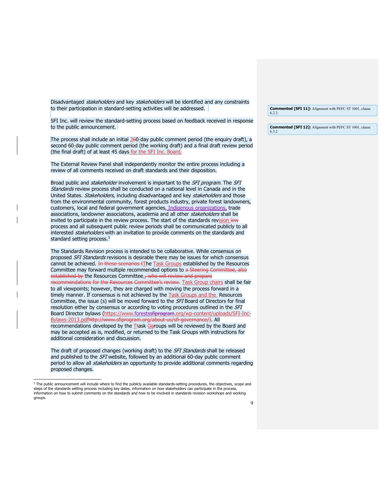Disadvantaged stakeholders and key stakeholders will be identified and any constraints to their participation in standard-setting activities will be addressed.

SFI Inc. will review the standard-setting process based on feedback received in response to the public announcement.

The process shall include an initial  $360$ -day public comment period (the enquiry draft), a second 60-day public comment period (the working draft) and a final draft review period (the final draft) of at least 45 days for the SFI Inc. Board.

The External Review Panel shall independently monitor the entire process including a review of all comments received on draft standards and their disposition.

Broad public and *stakeholder* involvement is important to the *SFI program*. The SFI Standards review process shall be conducted on a national level in Canada and in the United States. Stakeholders, including disadvantaged and key stakeholders and those from the environmental community, forest products industry, private forest landowners, customers, local and federal government agencies, Indigenous organizations, trade associations, landowner associations, academia and all other stakeholders shall be invited to participate in the review process. The start of the standards revision iew process and all subsequent public review periods shall be communicated publicly to all interested *stakeholders* with an invitation to provide comments on the standards and standard setting process.<sup>[5](#page-8-0)</sup>

The Standards Revision process is intended to be collaborative. While consensus on proposed SFI Standards revisions is desirable there may be issues for which consensus cannot be achieved. In these scenarios tThe Task Groups established by the Resources Committee may forward multiple recommended options to a Steering Committee, also established by the Resources Committee., who will review and prepare recommendations for the Resources Committee's review. Task Group chairs shall be fair to all viewpoints; however, they are charged with moving the process forward in a timely manner. If consensus is not achieved by the Task Groups and the Resources Committee, the issue (s) will be moved forward to the SFI Board of Directors for final resolution either by consensus or according to voting procedures outlined in the SFI Board Director bylaws [\(https://www.forestssfiprogram.org/wp-content/uploads/SFI-Inc-](https://www.forests.org/wp-content/uploads/SFI-Inc-Bylaws-2013.pdf)[Bylaws-2013.pdfh](https://www.forests.org/wp-content/uploads/SFI-Inc-Bylaws-2013.pdf)ttp://www.sfiprogram.org/about-us/sfi-governance/). All recommendations developed by the Ttask Geroups will be reviewed by the Board and may be accepted as is, modified, or returned to the Task Groups with instructions for additional consideration and discussion.

The draft of proposed changes (working draft) to the *SFI Standards* shall be released and published to the SFI website, followed by an additional 60-day public comment period to allow all *stakeholders* an opportunity to provide additional comments regarding proposed changes.

**Commented [SFI 11]:** Alignment with PEFC ST 1001, clause 6.2.2.

**Commented [SFI 12]:** Alignment with PEFC ST 1001, clause 6.3.2

<span id="page-8-0"></span><sup>&</sup>lt;sup>5</sup> The public announcement will include where to find the publicly available standards-setting procedures, the objectives, scope and steps of the standards setting process including key dates, information on how stakeholders can participate in the process, information on how to submit comments on the standards and how to be involved in standards revision workshops and working groups.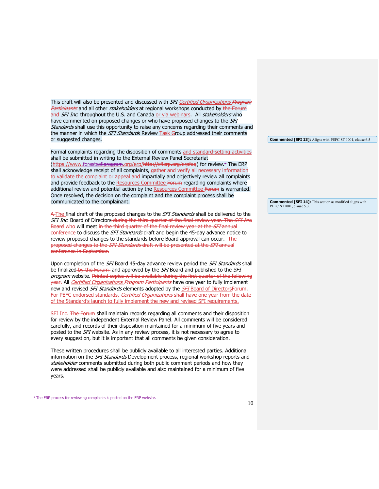This draft will also be presented and discussed with SFI Certified Organizations Program Participants and all other stakeholders at regional workshops conducted by the Forum and SFI Inc. throughout the U.S. and Canada or via webinars. All stakeholders who have commented on proposed changes or who have proposed changes to the SFI Standards shall use this opportunity to raise any concerns regarding their comments and the manner in which the SFI Standards Review Task Group addressed their comments or suggested changes.

Formal complaints regarding the disposition of comments and standard-setting activities shall be submitted in writing to the External Review Panel Secretariat [\(https://www.forestssfiprogram.org/erp/h](https://www.forests.org/erp/)ttp://sfierp.org/erpfag) for review.<sup>[6](#page-9-0)</sup> The ERP shall acknowledge receipt of all complaints, gather and verify all necessary information to validate the complaint or appeal and impartially and objectively review all complaints and provide feedback to the Resources Committee Forum regarding complaints where additional review and potential action by the Resources Committee Forum is warranted. Once resolved, the decision on the complaint and the complaint process shall be communicated to the complainant.

A-The final draft of the proposed changes to the SFI Standards shall be delivered to the SFI Inc. Board of Directors-during the third quarter of the final review year. The SFI Inc. Board who will meet in the third quarter of the final review year at the SFI annual conference to discuss the *SFI Standards* draft and begin the 45-day advance notice to review proposed changes to the standards before Board approval can occur. The proposed changes to the *SFI Standards* draft will be presented at the *SFI* annual conference in September.

Upon completion of the SFI Board 45-day advance review period the SFI Standards shall be finalized by the Forum and approved by the  $SFI$  Board and published to the  $SFI$ program website. Printed copies will be available during the first quarter of the following year. All *Certified Organizations Program Participants* have one year to fully implement new and revised *SFI Standards* elements adopted by the *SFI* Board of DirectorsForum. For PEFC endorsed standards, Certified Organizations shall have one year from the date of the Standard's launch to fully implement the new and revised SFI requirements.

SFI Inc. The Forum shall maintain records regarding all comments and their disposition for review by the independent External Review Panel. All comments will be considered carefully, and records of their disposition maintained for a minimum of five years and posted to the SFI website. As in any review process, it is not necessary to agree to every suggestion, but it is important that all comments be given consideration.

These written procedures shall be publicly available to all interested parties. Additional information on the *SFI Standards* Development process, regional workshop reports and stakeholder comments submitted during both public comment periods and how they were addressed shall be publicly available and also maintained for a minimum of five years.

**Commented [SFI 13]:** Aligns with PEFC ST 1001, clause 6.5

**Commented [SFI 14]:** This section as modified aligns with PEFC ST1001, clause 5.3.

<span id="page-9-0"></span><sup>&</sup>lt;sup>6</sup> The ERP process for reviewing complaints is posted on the ERP website.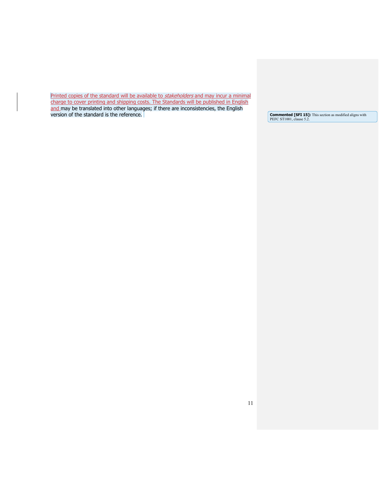Printed copies of the standard will be available to stakeholders and may incur a minimal charge to cover printing and shipping costs. The Standards will be published in English and may be translated into other languages; if there are inconsistencies, the English version of the standard is the reference. **Commented [SFI 15]:** This section as modified aligns with

**Commented [SFI 15]:** This section as modified aligns with PEFC ST1001, clause 5.2.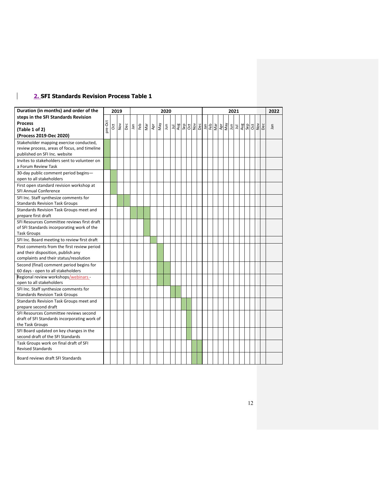# <span id="page-11-0"></span>**2. SFI Standards Revision Process Table 1**

 $\mathbf{1}$ 

| Duration (in months) and order of the                                           |         |            | 2019 |     | 2020 |     |               |     |     |     |   |     |     |     |     |     | 2021          |  |                                           |  |     |  |   |     |     |            |     |     | 2022 |
|---------------------------------------------------------------------------------|---------|------------|------|-----|------|-----|---------------|-----|-----|-----|---|-----|-----|-----|-----|-----|---------------|--|-------------------------------------------|--|-----|--|---|-----|-----|------------|-----|-----|------|
| steps in the SFI Standards Revision                                             |         |            |      |     |      |     |               |     |     |     |   |     |     |     |     |     |               |  |                                           |  |     |  |   |     |     |            |     |     |      |
| <b>Process</b>                                                                  | pre-Oct |            |      |     |      |     |               |     |     |     |   |     |     |     |     |     |               |  |                                           |  |     |  |   |     |     |            |     | Dec |      |
| (Table 1 of 2)                                                                  |         | <b>Oct</b> | Nov  | Dec | Jan  | Feb | $\frac{1}{2}$ | Apr | Vay | Jun | Ξ | Aug | Sep | Oct | Nov | Dec | <u>ິ</u> ້າລົ |  | $\frac{1}{2}$ $\frac{1}{2}$ $\frac{1}{2}$ |  | Vay |  | 과 | Aug | Sep | <b>Oct</b> | Nov |     | Jan  |
| (Process 2019-Dec 2020)                                                         |         |            |      |     |      |     |               |     |     |     |   |     |     |     |     |     |               |  |                                           |  |     |  |   |     |     |            |     |     |      |
| Stakeholder mapping exercise conducted,                                         |         |            |      |     |      |     |               |     |     |     |   |     |     |     |     |     |               |  |                                           |  |     |  |   |     |     |            |     |     |      |
| review process, areas of focus, and timeline                                    |         |            |      |     |      |     |               |     |     |     |   |     |     |     |     |     |               |  |                                           |  |     |  |   |     |     |            |     |     |      |
| published on SFI Inc. website                                                   |         |            |      |     |      |     |               |     |     |     |   |     |     |     |     |     |               |  |                                           |  |     |  |   |     |     |            |     |     |      |
| Invites to stakeholders sent to volunteer on                                    |         |            |      |     |      |     |               |     |     |     |   |     |     |     |     |     |               |  |                                           |  |     |  |   |     |     |            |     |     |      |
| a Forum Review Task                                                             |         |            |      |     |      |     |               |     |     |     |   |     |     |     |     |     |               |  |                                           |  |     |  |   |     |     |            |     |     |      |
| 30-day public comment period begins-                                            |         |            |      |     |      |     |               |     |     |     |   |     |     |     |     |     |               |  |                                           |  |     |  |   |     |     |            |     |     |      |
| open to all stakeholders                                                        |         |            |      |     |      |     |               |     |     |     |   |     |     |     |     |     |               |  |                                           |  |     |  |   |     |     |            |     |     |      |
| First open standard revision workshop at                                        |         |            |      |     |      |     |               |     |     |     |   |     |     |     |     |     |               |  |                                           |  |     |  |   |     |     |            |     |     |      |
| SFI Annual Conference                                                           |         |            |      |     |      |     |               |     |     |     |   |     |     |     |     |     |               |  |                                           |  |     |  |   |     |     |            |     |     |      |
| SFI Inc. Staff synthesize comments for                                          |         |            |      |     |      |     |               |     |     |     |   |     |     |     |     |     |               |  |                                           |  |     |  |   |     |     |            |     |     |      |
| <b>Standards Revision Task Groups</b>                                           |         |            |      |     |      |     |               |     |     |     |   |     |     |     |     |     |               |  |                                           |  |     |  |   |     |     |            |     |     |      |
| Standards Revision Task Groups meet and                                         |         |            |      |     |      |     |               |     |     |     |   |     |     |     |     |     |               |  |                                           |  |     |  |   |     |     |            |     |     |      |
| prepare first draft                                                             |         |            |      |     |      |     |               |     |     |     |   |     |     |     |     |     |               |  |                                           |  |     |  |   |     |     |            |     |     |      |
| SFI Resources Committee reviews first draft                                     |         |            |      |     |      |     |               |     |     |     |   |     |     |     |     |     |               |  |                                           |  |     |  |   |     |     |            |     |     |      |
| of SFI Standards incorporating work of the                                      |         |            |      |     |      |     |               |     |     |     |   |     |     |     |     |     |               |  |                                           |  |     |  |   |     |     |            |     |     |      |
| <b>Task Groups</b>                                                              |         |            |      |     |      |     |               |     |     |     |   |     |     |     |     |     |               |  |                                           |  |     |  |   |     |     |            |     |     |      |
| SFI Inc. Board meeting to review first draft                                    |         |            |      |     |      |     |               |     |     |     |   |     |     |     |     |     |               |  |                                           |  |     |  |   |     |     |            |     |     |      |
| Post comments from the first review period                                      |         |            |      |     |      |     |               |     |     |     |   |     |     |     |     |     |               |  |                                           |  |     |  |   |     |     |            |     |     |      |
| and their disposition, publish any                                              |         |            |      |     |      |     |               |     |     |     |   |     |     |     |     |     |               |  |                                           |  |     |  |   |     |     |            |     |     |      |
| complaints and their status/resolution                                          |         |            |      |     |      |     |               |     |     |     |   |     |     |     |     |     |               |  |                                           |  |     |  |   |     |     |            |     |     |      |
| Second (final) comment period begins for                                        |         |            |      |     |      |     |               |     |     |     |   |     |     |     |     |     |               |  |                                           |  |     |  |   |     |     |            |     |     |      |
| 60 days - open to all stakeholders                                              |         |            |      |     |      |     |               |     |     |     |   |     |     |     |     |     |               |  |                                           |  |     |  |   |     |     |            |     |     |      |
| Regional review workshops/webinars -                                            |         |            |      |     |      |     |               |     |     |     |   |     |     |     |     |     |               |  |                                           |  |     |  |   |     |     |            |     |     |      |
| open to all stakeholders                                                        |         |            |      |     |      |     |               |     |     |     |   |     |     |     |     |     |               |  |                                           |  |     |  |   |     |     |            |     |     |      |
| SFI Inc. Staff synthesize comments for<br><b>Standards Revision Task Groups</b> |         |            |      |     |      |     |               |     |     |     |   |     |     |     |     |     |               |  |                                           |  |     |  |   |     |     |            |     |     |      |
|                                                                                 |         |            |      |     |      |     |               |     |     |     |   |     |     |     |     |     |               |  |                                           |  |     |  |   |     |     |            |     |     |      |
| Standards Revision Task Groups meet and<br>prepare second draft                 |         |            |      |     |      |     |               |     |     |     |   |     |     |     |     |     |               |  |                                           |  |     |  |   |     |     |            |     |     |      |
| SFI Resources Committee reviews second                                          |         |            |      |     |      |     |               |     |     |     |   |     |     |     |     |     |               |  |                                           |  |     |  |   |     |     |            |     |     |      |
| draft of SFI Standards incorporating work of                                    |         |            |      |     |      |     |               |     |     |     |   |     |     |     |     |     |               |  |                                           |  |     |  |   |     |     |            |     |     |      |
| the Task Groups                                                                 |         |            |      |     |      |     |               |     |     |     |   |     |     |     |     |     |               |  |                                           |  |     |  |   |     |     |            |     |     |      |
| SFI Board updated on key changes in the                                         |         |            |      |     |      |     |               |     |     |     |   |     |     |     |     |     |               |  |                                           |  |     |  |   |     |     |            |     |     |      |
| second draft of the SFI Standards                                               |         |            |      |     |      |     |               |     |     |     |   |     |     |     |     |     |               |  |                                           |  |     |  |   |     |     |            |     |     |      |
| Task Groups work on final draft of SFI                                          |         |            |      |     |      |     |               |     |     |     |   |     |     |     |     |     |               |  |                                           |  |     |  |   |     |     |            |     |     |      |
| <b>Revised Standards</b>                                                        |         |            |      |     |      |     |               |     |     |     |   |     |     |     |     |     |               |  |                                           |  |     |  |   |     |     |            |     |     |      |
|                                                                                 |         |            |      |     |      |     |               |     |     |     |   |     |     |     |     |     |               |  |                                           |  |     |  |   |     |     |            |     |     |      |
| Board reviews draft SFI Standards                                               |         |            |      |     |      |     |               |     |     |     |   |     |     |     |     |     |               |  |                                           |  |     |  |   |     |     |            |     |     |      |